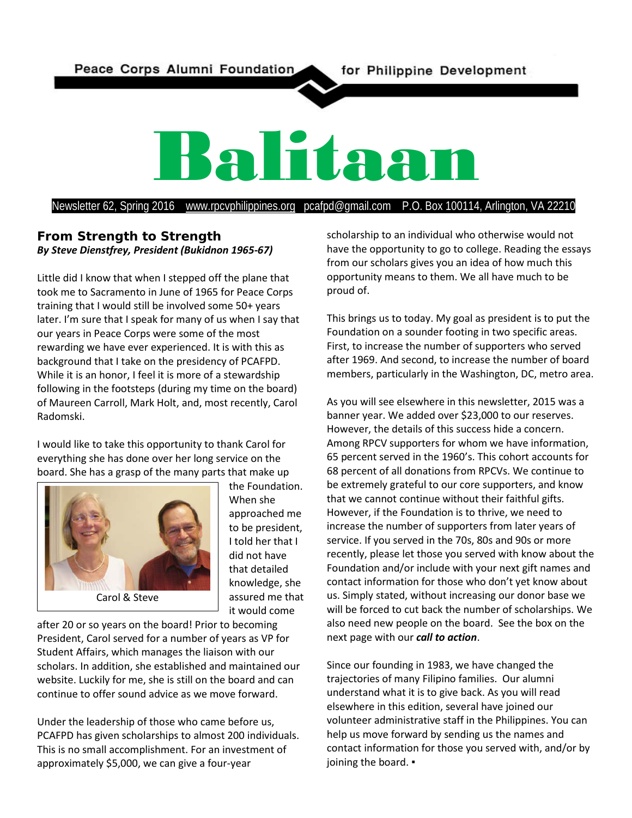Peace Corps Alumni Foundation

# Balitaan

Newsletter 62, Spring 2016 [www.rpcvphilippines.org](http://www.rpcvphilippines.org/) pcafpd@gmail.com P.O. Box 100114, Arlington, VA 22210

# **From Strength to Strength** *By Steve Dienstfrey, President (Bukidnon 1965-67)*

Little did I know that when I stepped off the plane that took me to Sacramento in June of 1965 for Peace Corps training that I would still be involved some 50+ years later. I'm sure that I speak for many of us when I say that our years in Peace Corps were some of the most rewarding we have ever experienced. It is with this as background that I take on the presidency of PCAFPD. While it is an honor, I feel it is more of a stewardship following in the footsteps (during my time on the board) of Maureen Carroll, Mark Holt, and, most recently, Carol Radomski.

I would like to take this opportunity to thank Carol for everything she has done over her long service on the board. She has a grasp of the many parts that make up



the Foundation. When she approached me to be president, I told her that I did not have that detailed knowledge, she assured me that it would come

after 20 or so years on the board! Prior to becoming President, Carol served for a number of years as VP for Student Affairs, which manages the liaison with our scholars. In addition, she established and maintained our website. Luckily for me, she is still on the board and can continue to offer sound advice as we move forward.

Under the leadership of those who came before us, PCAFPD has given scholarships to almost 200 individuals. This is no small accomplishment. For an investment of approximately \$5,000, we can give a four-year

scholarship to an individual who otherwise would not have the opportunity to go to college. Reading the essays from our scholars gives you an idea of how much this opportunity means to them. We all have much to be proud of.

This brings us to today. My goal as president is to put the Foundation on a sounder footing in two specific areas. First, to increase the number of supporters who served after 1969. And second, to increase the number of board members, particularly in the Washington, DC, metro area.

As you will see elsewhere in this newsletter, 2015 was a banner year. We added over \$23,000 to our reserves. However, the details of this success hide a concern. Among RPCV supporters for whom we have information, 65 percent served in the 1960's. This cohort accounts for 68 percent of all donations from RPCVs. We continue to be extremely grateful to our core supporters, and know that we cannot continue without their faithful gifts. However, if the Foundation is to thrive, we need to increase the number of supporters from later years of service. If you served in the 70s, 80s and 90s or more recently, please let those you served with know about the Foundation and/or include with your next gift names and contact information for those who don't yet know about us. Simply stated, without increasing our donor base we will be forced to cut back the number of scholarships. We also need new people on the board. See the box on the next page with our *call to action*.

Since our founding in 1983, we have changed the trajectories of many Filipino families. Our alumni understand what it is to give back. As you will read elsewhere in this edition, several have joined our volunteer administrative staff in the Philippines. You can help us move forward by sending us the names and contact information for those you served with, and/or by joining the board. •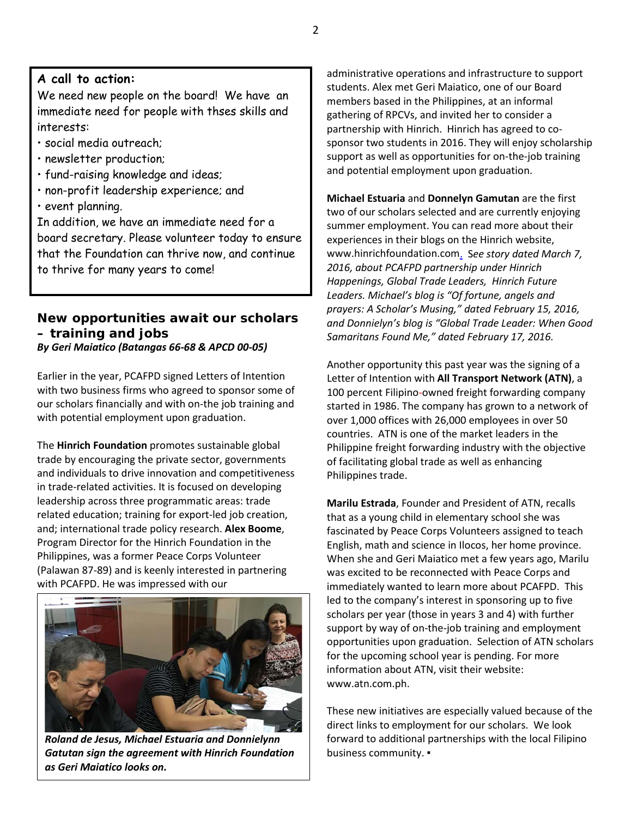# **A call to action:**

We need new people on the board! We have an immediate need for people with thses skills and interests:

- social media outreach;
- newsletter production;
- fund-raising knowledge and ideas;
- non-profit leadership experience; and
- event planning.

In addition, we have an immediate need for a board secretary. Please volunteer today to ensure that the Foundation can thrive now, and continue to thrive for many years to come!

# **New opportunities await our scholars – training and jobs**

*By Geri Maiatico (Batangas 66-68 & APCD 00-05)*

Earlier in the year, PCAFPD signed Letters of Intention with two business firms who agreed to sponsor some of our scholars financially and with on-the job training and with potential employment upon graduation.

The **Hinrich Foundation** promotes sustainable global trade by encouraging the private sector, governments and individuals to drive innovation and competitiveness in trade-related activities. It is focused on developing leadership across three programmatic areas: trade related education; training for export-led job creation, and; international trade policy research. **Alex Boome**, Program Director for the Hinrich Foundation in the Philippines, was a former Peace Corps Volunteer (Palawan 87-89) and is keenly interested in partnering with PCAFPD. He was impressed with our



*Roland de Jesus, Michael Estuaria and Donnielynn Gatutan sign the agreement with Hinrich Foundation as Geri Maiatico looks on.*

administrative operations and infrastructure to support students. Alex met Geri Maiatico, one of our Board members based in the Philippines, at an informal gathering of RPCVs, and invited her to consider a partnership with Hinrich. Hinrich has agreed to cosponsor two students in 2016. They will enjoy scholarship support as well as opportunities for on-the-job training and potential employment upon graduation.

**Michael Estuaria** and **Donnelyn Gamutan** are the first two of our scholars selected and are currently enjoying summer employment. You can read more about their experiences in their blogs on the Hinrich website, [www.hinrichfoundation.com.](http://www.hinrichfoundation.com/) S*ee story dated March 7, 2016, about PCAFPD partnership under Hinrich Happenings, Global Trade Leaders, Hinrich Future Leaders. Michael's blog is "Of fortune, angels and prayers: A Scholar's Musing," dated February 15, 2016, and Donnielyn's blog is "Global Trade Leader: When Good Samaritans Found Me," dated February 17, 2016.*

Another opportunity this past year was the signing of a Letter of Intention with **All Transport Network (ATN)**, a 100 percent Filipino-owned freight forwarding company started in 1986. The company has grown to a network of over 1,000 offices with 26,000 employees in over 50 countries. ATN is one of the market leaders in the Philippine freight forwarding industry with the objective of facilitating global trade as well as enhancing Philippines trade.

**Marilu Estrada**, Founder and President of ATN, recalls that as a young child in elementary school she was fascinated by Peace Corps Volunteers assigned to teach English, math and science in Ilocos, her home province. When she and Geri Maiatico met a few years ago, Marilu was excited to be reconnected with Peace Corps and immediately wanted to learn more about PCAFPD. This led to the company's interest in sponsoring up to five scholars per year (those in years 3 and 4) with further support by way of on-the-job training and employment opportunities upon graduation. Selection of ATN scholars for the upcoming school year is pending. For more information about ATN, visit their website: www.atn.com.ph.

These new initiatives are especially valued because of the direct links to employment for our scholars. We look forward to additional partnerships with the local Filipino business community. ▪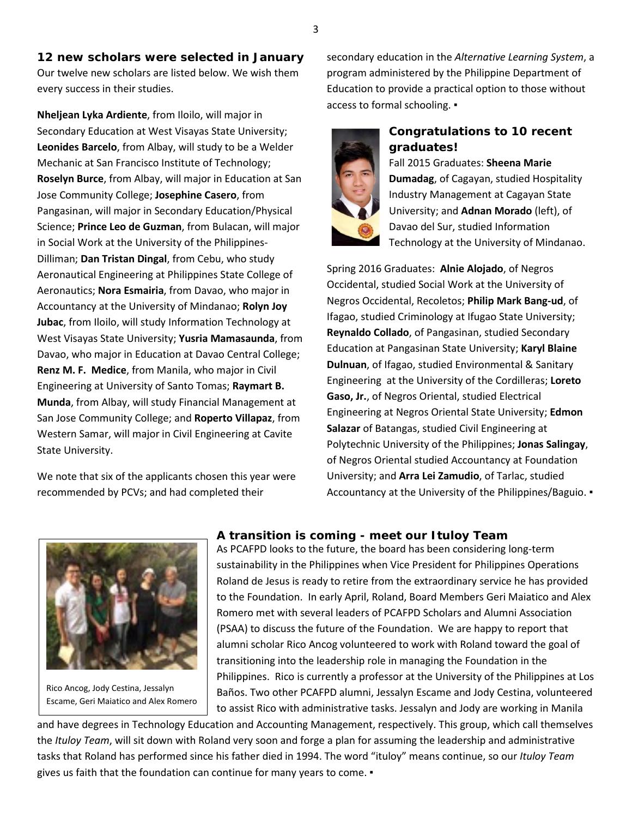**12 new scholars were selected in January** Our twelve new scholars are listed below. We wish them every success in their studies.

**Nheljean Lyka Ardiente**, from Iloilo, will major in Secondary Education at West Visayas State University; **Leonides Barcelo**, from Albay, will study to be a Welder Mechanic at San Francisco Institute of Technology; **Roselyn Burce**, from Albay, will major in Education at San Jose Community College; **Josephine Casero**, from Pangasinan, will major in Secondary Education/Physical Science; **Prince Leo de Guzman**, from Bulacan, will major in Social Work at the University of the Philippines-Dilliman; **Dan Tristan Dingal**, from Cebu, who study Aeronautical Engineering at Philippines State College of Aeronautics; **Nora Esmairia**, from Davao, who major in Accountancy at the University of Mindanao; **Rolyn Joy Jubac**, from Iloilo, will study Information Technology at West Visayas State University; **Yusria Mamasaunda**, from Davao, who major in Education at Davao Central College; **Renz M. F. Medice**, from Manila, who major in Civil Engineering at University of Santo Tomas; **Raymart B. Munda**, from Albay, will study Financial Management at San Jose Community College; and **Roperto Villapaz**, from Western Samar, will major in Civil Engineering at Cavite State University.

We note that six of the applicants chosen this year were recommended by PCVs; and had completed their

secondary education in the *Alternative Learning System*, a program administered by the Philippine Department of Education to provide a practical option to those without access to formal schooling. ▪



# **Congratulations to 10 recent graduates!**

Fall 2015 Graduates: **Sheena Marie Dumadag**, of Cagayan, studied Hospitality Industry Management at Cagayan State University; and **Adnan Morado** (left), of Davao del Sur, studied Information Technology at the University of Mindanao.

Spring 2016 Graduates: **Alnie Alojado**, of Negros Occidental, studied Social Work at the University of Negros Occidental, Recoletos; **Philip Mark Bang-ud**, of Ifagao, studied Criminology at Ifugao State University; **Reynaldo Collado**, of Pangasinan, studied Secondary Education at Pangasinan State University; **Karyl Blaine Dulnuan**, of Ifagao, studied Environmental & Sanitary Engineering at the University of the Cordilleras; **Loreto Gaso, Jr.**, of Negros Oriental, studied Electrical Engineering at Negros Oriental State University; **Edmon Salazar** of Batangas, studied Civil Engineering at Polytechnic University of the Philippines; **Jonas Salingay**, of Negros Oriental studied Accountancy at Foundation University; and **Arra Lei Zamudio**, of Tarlac, studied Accountancy at the University of the Philippines/Baguio. ▪



Rico Ancog, Jody Cestina, Jessalyn Escame, Geri Maiatico and Alex Romero

# **A transition is coming - meet our** *Ituloy Team*

As PCAFPD looks to the future, the board has been considering long-term sustainability in the Philippines when Vice President for Philippines Operations Roland de Jesus is ready to retire from the extraordinary service he has provided to the Foundation. In early April, Roland, Board Members Geri Maiatico and Alex Romero met with several leaders of PCAFPD Scholars and Alumni Association (PSAA) to discuss the future of the Foundation. We are happy to report that alumni scholar Rico Ancog volunteered to work with Roland toward the goal of transitioning into the leadership role in managing the Foundation in the Philippines. Rico is currently a professor at the University of the Philippines at Los Baños. Two other PCAFPD alumni, Jessalyn Escame and Jody Cestina, volunteered to assist Rico with administrative tasks. Jessalyn and Jody are working in Manila

and have degrees in Technology Education and Accounting Management, respectively. This group, which call themselves the *Ituloy Team*, will sit down with Roland very soon and forge a plan for assuming the leadership and administrative tasks that Roland has performed since his father died in 1994. The word "ituloy" means continue, so our *Ituloy Team* gives us faith that the foundation can continue for many years to come. .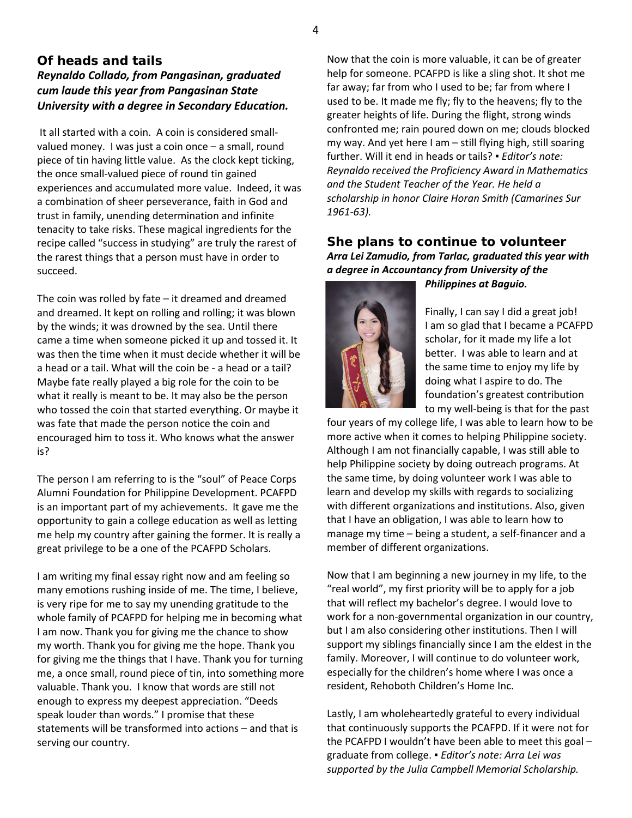# **Of heads and tails** *Reynaldo Collado, from Pangasinan, graduated cum laude this year from Pangasinan State University with a degree in Secondary Education.*

It all started with a coin. A coin is considered smallvalued money. I was just a coin once – a small, round piece of tin having little value. As the clock kept ticking, the once small-valued piece of round tin gained experiences and accumulated more value. Indeed, it was a combination of sheer perseverance, faith in God and trust in family, unending determination and infinite tenacity to take risks. These magical ingredients for the recipe called "success in studying" are truly the rarest of the rarest things that a person must have in order to succeed.

The coin was rolled by fate – it dreamed and dreamed and dreamed. It kept on rolling and rolling; it was blown by the winds; it was drowned by the sea. Until there came a time when someone picked it up and tossed it. It was then the time when it must decide whether it will be a head or a tail. What will the coin be - a head or a tail? Maybe fate really played a big role for the coin to be what it really is meant to be. It may also be the person who tossed the coin that started everything. Or maybe it was fate that made the person notice the coin and encouraged him to toss it. Who knows what the answer is?

The person I am referring to is the "soul" of Peace Corps Alumni Foundation for Philippine Development. PCAFPD is an important part of my achievements. It gave me the opportunity to gain a college education as well as letting me help my country after gaining the former. It is really a great privilege to be a one of the PCAFPD Scholars.

I am writing my final essay right now and am feeling so many emotions rushing inside of me. The time, I believe, is very ripe for me to say my unending gratitude to the whole family of PCAFPD for helping me in becoming what I am now. Thank you for giving me the chance to show my worth. Thank you for giving me the hope. Thank you for giving me the things that I have. Thank you for turning me, a once small, round piece of tin, into something more valuable. Thank you. I know that words are still not enough to express my deepest appreciation. "Deeds speak louder than words." I promise that these statements will be transformed into actions – and that is serving our country.

Now that the coin is more valuable, it can be of greater help for someone. PCAFPD is like a sling shot. It shot me far away; far from who I used to be; far from where I used to be. It made me fly; fly to the heavens; fly to the greater heights of life. During the flight, strong winds confronted me; rain poured down on me; clouds blocked my way. And yet here I am – still flying high, still soaring further. Will it end in heads or tails? ▪ *Editor's note: Reynaldo received the Proficiency Award in Mathematics and the Student Teacher of the Year. He held a scholarship in honor Claire Horan Smith (Camarines Sur 1961-63).* 

# **She plans to continue to volunteer** *Arra Lei Zamudio, from Tarlac, graduated this year with a degree in Accountancy from University of the Philippines at Baguio.*



Finally, I can say I did a great job! I am so glad that I became a PCAFPD scholar, for it made my life a lot better. I was able to learn and at the same time to enjoy my life by doing what I aspire to do. The

foundation's greatest contribution to my well-being is that for the past four years of my college life, I was able to learn how to be more active when it comes to helping Philippine society. Although I am not financially capable, I was still able to help Philippine society by doing outreach programs. At the same time, by doing volunteer work I was able to learn and develop my skills with regards to socializing with different organizations and institutions. Also, given that I have an obligation, I was able to learn how to manage my time – being a student, a self-financer and a member of different organizations.

Now that I am beginning a new journey in my life, to the "real world", my first priority will be to apply for a job that will reflect my bachelor's degree. I would love to work for a non-governmental organization in our country, but I am also considering other institutions. Then I will support my siblings financially since I am the eldest in the family. Moreover, I will continue to do volunteer work, especially for the children's home where I was once a resident, Rehoboth Children's Home Inc.

Lastly, I am wholeheartedly grateful to every individual that continuously supports the PCAFPD. If it were not for the PCAFPD I wouldn't have been able to meet this goal – graduate from college. ▪ *Editor's note: Arra Lei was supported by the Julia Campbell Memorial Scholarship.*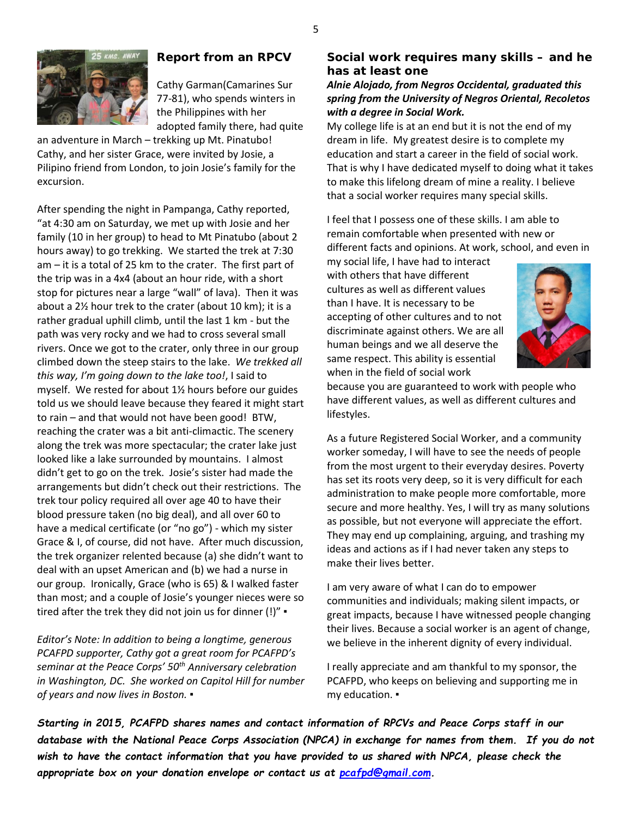

# **Report from an RPCV**

Cathy Garman(Camarines Sur 77-81), who spends winters in the Philippines with her adopted family there, had quite

an adventure in March – trekking up Mt. Pinatubo! Cathy, and her sister Grace, were invited by Josie, a Pilipino friend from London, to join Josie's family for the excursion.

After spending the night in Pampanga, Cathy reported, "at 4:30 am on Saturday, we met up with Josie and her family (10 in her group) to head to Mt Pinatubo (about 2 hours away) to go trekking. We started the trek at 7:30 am – it is a total of 25 km to the crater. The first part of the trip was in a 4x4 (about an hour ride, with a short stop for pictures near a large "wall" of lava). Then it was about a 2½ hour trek to the crater (about 10 km); it is a rather gradual uphill climb, until the last 1 km - but the path was very rocky and we had to cross several small rivers. Once we got to the crater, only three in our group climbed down the steep stairs to the lake. *We trekked all this way, I'm going down to the lake too!*, I said to myself. We rested for about 1½ hours before our guides told us we should leave because they feared it might start to rain – and that would not have been good! BTW, reaching the crater was a bit anti-climactic. The scenery along the trek was more spectacular; the crater lake just looked like a lake surrounded by mountains. I almost didn't get to go on the trek. Josie's sister had made the arrangements but didn't check out their restrictions. The trek tour policy required all over age 40 to have their blood pressure taken (no big deal), and all over 60 to have a medical certificate (or "no go") - which my sister Grace & I, of course, did not have. After much discussion, the trek organizer relented because (a) she didn't want to deal with an upset American and (b) we had a nurse in our group. Ironically, Grace (who is 65) & I walked faster than most; and a couple of Josie's younger nieces were so tired after the trek they did not join us for dinner (!)" ▪

*Editor's Note: In addition to being a longtime, generous PCAFPD supporter, Cathy got a great room for PCAFPD's seminar at the Peace Corps' 50th Anniversary celebration in Washington, DC. She worked on Capitol Hill for number of years and now lives in Boston. ▪*

# **Social work requires many skills – and he has at least one**

# *Alnie Alojado, from Negros Occidental, graduated this spring from the University of Negros Oriental, Recoletos with a degree in Social Work.*

My college life is at an end but it is not the end of my dream in life. My greatest desire is to complete my education and start a career in the field of social work. That is why I have dedicated myself to doing what it takes to make this lifelong dream of mine a reality. I believe that a social worker requires many special skills.

I feel that I possess one of these skills. I am able to remain comfortable when presented with new or different facts and opinions. At work, school, and even in

my social life, I have had to interact with others that have different cultures as well as different values than I have. It is necessary to be accepting of other cultures and to not discriminate against others. We are all human beings and we all deserve the same respect. This ability is essential when in the field of social work



because you are guaranteed to work with people who have different values, as well as different cultures and lifestyles.

As a future Registered Social Worker, and a community worker someday, I will have to see the needs of people from the most urgent to their everyday desires. Poverty has set its roots very deep, so it is very difficult for each administration to make people more comfortable, more secure and more healthy. Yes, I will try as many solutions as possible, but not everyone will appreciate the effort. They may end up complaining, arguing, and trashing my ideas and actions as if I had never taken any steps to make their lives better.

I am very aware of what I can do to empower communities and individuals; making silent impacts, or great impacts, because I have witnessed people changing their lives. Because a social worker is an agent of change, we believe in the inherent dignity of every individual.

I really appreciate and am thankful to my sponsor, the PCAFPD, who keeps on believing and supporting me in my education. ▪

*Starting in 2015, PCAFPD shares names and contact information of RPCVs and Peace Corps staff in our database with the National Peace Corps Association (NPCA) in exchange for names from them. If you do not wish to have the contact information that you have provided to us shared with NPCA, please check the appropriate box on your donation envelope or contact us at [pcafpd@gmail.com.](mailto:pcafpd@gmail.com)*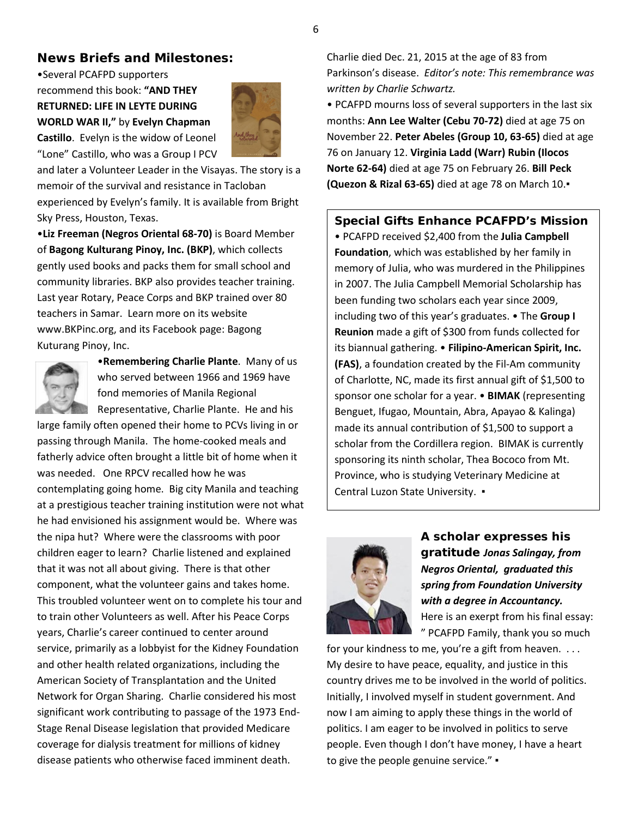#### 6

# **News Briefs and Milestones:**

•Several PCAFPD supporters recommend this book: **"AND THEY RETURNED: LIFE IN LEYTE DURING WORLD WAR II,"** by **Evelyn Chapman Castillo**. Evelyn is the widow of Leonel "Lone" Castillo, who was a Group I PCV



and later a Volunteer Leader in the Visayas. The story is a memoir of the survival and resistance in Tacloban experienced by Evelyn's family. It is available from Bright Sky Press, Houston, Texas.

•**Liz Freeman (Negros Oriental 68-70)** is Board Member of **Bagong Kulturang Pinoy, Inc. (BKP)**, which collects gently used books and packs them for small school and community libraries. BKP also provides teacher training. Last year Rotary, Peace Corps and BKP trained over 80 teachers in Samar. Learn more on its website [www.BKPinc.org,](http://www.bkpinc.org/) and its Facebook page: Bagong Kuturang Pinoy, Inc.



•**Remembering Charlie Plante**. Many of us who served between 1966 and 1969 have fond memories of Manila Regional

Representative, Charlie Plante. He and his

large family often opened their home to PCVs living in or passing through Manila. The home-cooked meals and fatherly advice often brought a little bit of home when it was needed. One RPCV recalled how he was contemplating going home. Big city Manila and teaching at a prestigious teacher training institution were not what he had envisioned his assignment would be. Where was the nipa hut? Where were the classrooms with poor children eager to learn? Charlie listened and explained that it was not all about giving. There is that other component, what the volunteer gains and takes home. This troubled volunteer went on to complete his tour and to train other Volunteers as well. After his Peace Corps years, Charlie's career continued to center around service, primarily as a lobbyist for the Kidney Foundation and other health related organizations, including the American Society of Transplantation and the United Network for Organ Sharing. Charlie considered his most significant work contributing to passage of the 1973 End-Stage Renal Disease legislation that provided Medicare coverage for dialysis treatment for millions of kidney disease patients who otherwise faced imminent death.

Charlie died Dec. 21, 2015 at the age of 83 from Parkinson's disease. *Editor's note: This remembrance was written by Charlie Schwartz.*

• PCAFPD mourns loss of several supporters in the last six months: **Ann Lee Walter (Cebu 70-72)** died at age 75 on November 22. **Peter Abeles (Group 10, 63-65)** died at age 76 on January 12. **Virginia Ladd (Warr) Rubin (Ilocos Norte 62-64)** died at age 75 on February 26. **Bill Peck (Quezon & Rizal 63-65)** died at age 78 on March 10.▪

**Special Gifts Enhance PCAFPD's Mission** • PCAFPD received \$2,400 from the **Julia Campbell Foundation**, which was established by her family in memory of Julia, who was murdered in the Philippines in 2007. The Julia Campbell Memorial Scholarship has been funding two scholars each year since 2009, including two of this year's graduates. • The **Group I Reunion** made a gift of \$300 from funds collected for its biannual gathering. • **Filipino-American Spirit, Inc. (FAS)**, a foundation created by the Fil-Am community of Charlotte, NC, made its first annual gift of \$1,500 to sponsor one scholar for a year. • **BIMAK** (representing Benguet, Ifugao, Mountain, Abra, Apayao & Kalinga) made its annual contribution of \$1,500 to support a scholar from the Cordillera region. BIMAK is currently sponsoring its ninth scholar, Thea Bococo from Mt. Province, who is studying Veterinary Medicine at Central Luzon State University. ▪



**A scholar expresses his gratitude** *Jonas Salingay, from Negros Oriental, graduated this spring from Foundation University with a degree in Accountancy.* Here is an exerpt from his final essay: " PCAFPD Family, thank you so much

for your kindness to me, you're a gift from heaven. . . . My desire to have peace, equality, and justice in this country drives me to be involved in the world of politics. Initially, I involved myself in student government. And now I am aiming to apply these things in the world of politics. I am eager to be involved in politics to serve people. Even though I don't have money, I have a heart to give the people genuine service." •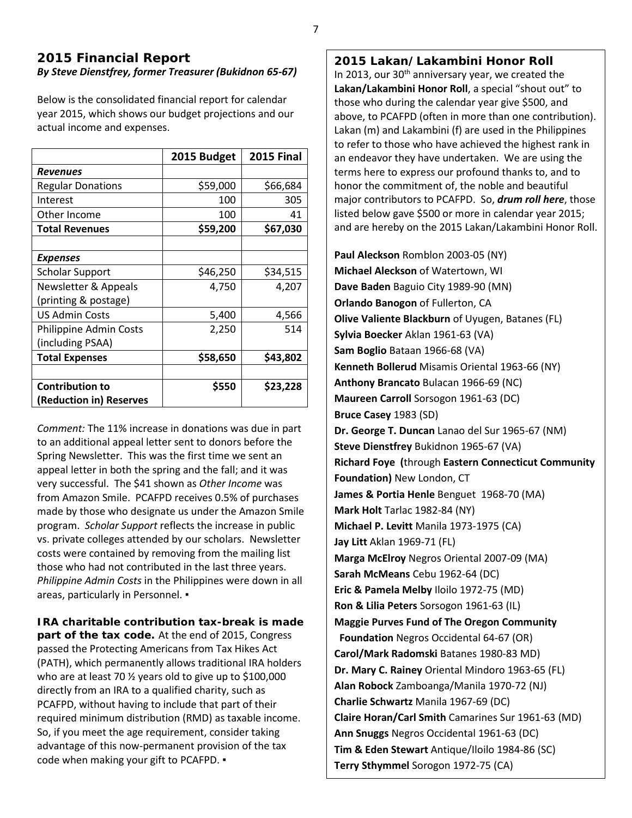# **2015 Financial Report** *By Steve Dienstfrey, former Treasurer (Bukidnon 65-67)*

Below is the consolidated financial report for calendar year 2015, which shows our budget projections and our actual income and expenses.

|                          | 2015 Budget | <b>2015 Final</b> |
|--------------------------|-------------|-------------------|
| <b>Revenues</b>          |             |                   |
| <b>Regular Donations</b> | \$59,000    | \$66,684          |
| Interest                 | 100         | 305               |
| Other Income             | 100         | 41                |
| <b>Total Revenues</b>    | \$59,200    | \$67,030          |
|                          |             |                   |
| <b>Expenses</b>          |             |                   |
| <b>Scholar Support</b>   | \$46,250    | \$34,515          |
| Newsletter & Appeals     | 4,750       | 4,207             |
| (printing & postage)     |             |                   |
| <b>US Admin Costs</b>    | 5,400       | 4,566             |
| Philippine Admin Costs   | 2,250       | 514               |
| (including PSAA)         |             |                   |
| <b>Total Expenses</b>    | \$58,650    | \$43,802          |
|                          |             |                   |
| <b>Contribution to</b>   | \$550       | \$23,228          |
| (Reduction in) Reserves  |             |                   |

*Comment:* The 11% increase in donations was due in part to an additional appeal letter sent to donors before the Spring Newsletter. This was the first time we sent an appeal letter in both the spring and the fall; and it was very successful. The \$41 shown as *Other Income* was from Amazon Smile. PCAFPD receives 0.5% of purchases made by those who designate us under the Amazon Smile program. *Scholar Support* reflects the increase in public vs. private colleges attended by our scholars. Newsletter costs were contained by removing from the mailing list those who had not contributed in the last three years. *Philippine Admin Costs* in the Philippines were down in all areas, particularly in Personnel. •

**IRA charitable contribution tax-break is made part of the tax code.** At the end of 2015, Congress passed the Protecting Americans from Tax Hikes Act (PATH), which permanently allows traditional IRA holders who are at least 70 ½ years old to give up to \$100,000 directly from an IRA to a qualified charity, such as PCAFPD, without having to include that part of their required minimum distribution (RMD) as taxable income. So, if you meet the age requirement, consider taking advantage of this now-permanent provision of the tax code when making your gift to PCAFPD. ▪

### **2015 Lakan/Lakambini Honor Roll**

In 2013, our 30<sup>th</sup> anniversary year, we created the **Lakan/Lakambini Honor Roll**, a special "shout out" to those who during the calendar year give \$500, and above, to PCAFPD (often in more than one contribution). Lakan (m) and Lakambini (f) are used in the Philippines to refer to those who have achieved the highest rank in an endeavor they have undertaken. We are using the terms here to express our profound thanks to, and to honor the commitment of, the noble and beautiful major contributors to PCAFPD. So, *drum roll here*, those listed below gave \$500 or more in calendar year 2015; and are hereby on the 2015 Lakan/Lakambini Honor Roll.

**Paul Aleckson** Romblon 2003-05 (NY) **Michael Aleckson** of Watertown, WI **Dave Baden** Baguio City 1989-90 (MN) **Orlando Banogon** of Fullerton, CA **Olive Valiente Blackburn** of Uyugen, Batanes (FL) **Sylvia Boecker** Aklan 1961-63 (VA) **Sam Boglio** Bataan 1966-68 (VA) **Kenneth Bollerud** Misamis Oriental 1963-66 (NY) **Anthony Brancato** Bulacan 1966-69 (NC) **Maureen Carroll** Sorsogon 1961-63 (DC) **Bruce Casey** 1983 (SD) **Dr. George T. Duncan** Lanao del Sur 1965-67 (NM) **Steve Dienstfrey** Bukidnon 1965-67 (VA) **Richard Foye (**through **Eastern Connecticut Community Foundation)** New London, CT **James & Portia Henle** Benguet 1968-70 (MA) **Mark Holt** Tarlac 1982-84 (NY) **Michael P. Levitt** Manila 1973-1975 (CA) **Jay Litt** Aklan 1969-71 (FL) **Marga McElroy** Negros Oriental 2007-09 (MA) **Sarah McMeans** Cebu 1962-64 (DC) **Eric & Pamela Melby** Iloilo 1972-75 (MD) **Ron & Lilia Peters** Sorsogon 1961-63 (IL) **Maggie Purves Fund of The Oregon Community Foundation** Negros Occidental 64-67 (OR) **Carol/Mark Radomski** Batanes 1980-83 MD) **Dr. Mary C. Rainey** Oriental Mindoro 1963-65 (FL) **Alan Robock** Zamboanga/Manila 1970-72 (NJ) **Charlie Schwartz** Manila 1967-69 (DC) **Claire Horan/Carl Smith** Camarines Sur 1961-63 (MD) **Ann Snuggs** Negros Occidental 1961-63 (DC) **Tim & Eden Stewart** Antique/Iloilo 1984-86 (SC) **Terry Sthymmel** Sorogon 1972-75 (CA)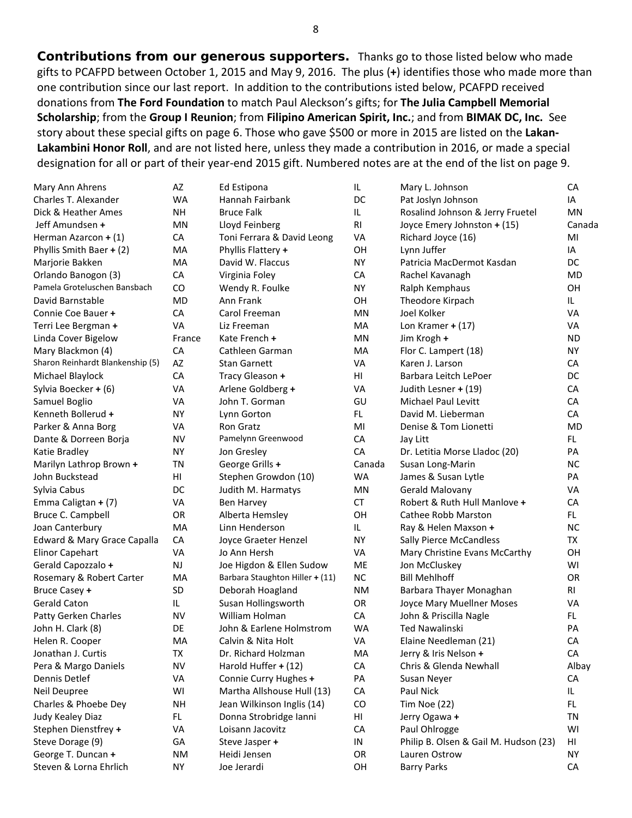**Contributions from our generous supporters.** Thanks go to those listed below who made gifts to PCAFPD between October 1, 2015 and May 9, 2016. The plus (**+**) identifies those who made more than one contribution since our last report. In addition to the contributions isted below, PCAFPD received donations from **The Ford Foundation** to match Paul Aleckson's gifts; for **The Julia Campbell Memorial Scholarship**; from the **Group I Reunion**; from **Filipino American Spirit, Inc.**; and from **BIMAK DC, Inc.** See story about these special gifts on page 6. Those who gave \$500 or more in 2015 are listed on the **Lakan-Lakambini Honor Roll**, and are not listed here, unless they made a contribution in 2016, or made a special designation for all or part of their year-end 2015 gift. Numbered notes are at the end of the list on page 9.

| Mary Ann Ahrens                  | AZ        | Ed Estipona                     | IL             | Mary L. Johnson                       | CA        |
|----------------------------------|-----------|---------------------------------|----------------|---------------------------------------|-----------|
| Charles T. Alexander             | <b>WA</b> | Hannah Fairbank                 | DC             | Pat Joslyn Johnson                    | IA        |
| Dick & Heather Ames              | <b>NH</b> | <b>Bruce Falk</b>               | IL             | Rosalind Johnson & Jerry Fruetel      | <b>MN</b> |
| Jeff Amundsen +                  | MN        | Lloyd Feinberg                  | R <sub>l</sub> | Joyce Emery Johnston + (15)           | Canada    |
| Herman Azarcon + (1)             | CA        | Toni Ferrara & David Leong      | VA             | Richard Joyce (16)                    | MI        |
| Phyllis Smith Baer + (2)         | MA        | Phyllis Flattery +              | OH             | Lynn Juffer                           | IA        |
| Marjorie Bakken                  | MA        | David W. Flaccus                | <b>NY</b>      | Patricia MacDermot Kasdan             | DC        |
| Orlando Banogon (3)              | CA        | Virginia Foley                  | CA             | Rachel Kavanagh                       | <b>MD</b> |
| Pamela Groteluschen Bansbach     | CO        | Wendy R. Foulke                 | NY.            | Ralph Kemphaus                        | OH        |
| David Barnstable                 | <b>MD</b> | Ann Frank                       | OH             | Theodore Kirpach                      | IL.       |
| Connie Coe Bauer +               | <b>CA</b> | Carol Freeman                   | MN             | Joel Kolker                           | <b>VA</b> |
| Terri Lee Bergman +              | <b>VA</b> | Liz Freeman                     | MA             | Lon Kramer $+$ (17)                   | VA        |
| Linda Cover Bigelow              | France    | Kate French +                   | MN             | Jim Krogh +                           | <b>ND</b> |
| Mary Blackmon (4)                | CA        | Cathleen Garman                 | MA             | Flor C. Lampert (18)                  | <b>NY</b> |
| Sharon Reinhardt Blankenship (5) | AZ        | <b>Stan Garnett</b>             | VA             | Karen J. Larson                       | CA        |
| Michael Blaylock                 | CA        | Tracy Gleason +                 | HI             | Barbara Leitch LePoer                 | DC        |
| Sylvia Boecker + (6)             | VA        | Arlene Goldberg +               | VA             | Judith Lesner + (19)                  | CA        |
| Samuel Boglio                    | VA        | John T. Gorman                  | GU             | Michael Paul Levitt                   | CA        |
| Kenneth Bollerud +               | NY.       | Lynn Gorton                     | FL.            | David M. Lieberman                    | CA        |
| Parker & Anna Borg               | VA        | Ron Gratz                       | MI             | Denise & Tom Lionetti                 | <b>MD</b> |
| Dante & Dorreen Borja            | <b>NV</b> | Pamelynn Greenwood              | CA             | Jay Litt                              | FL.       |
| Katie Bradley                    | <b>NY</b> | Jon Gresley                     | CA             | Dr. Letitia Morse Lladoc (20)         | PA        |
| Marilyn Lathrop Brown +          | TN        | George Grills +                 | Canada         | Susan Long-Marin                      | <b>NC</b> |
| John Buckstead                   | HI        | Stephen Growdon (10)            | <b>WA</b>      | James & Susan Lytle                   | PA        |
| Sylvia Cabus                     | DC        | Judith M. Harmatys              | MN             | Gerald Malovany                       | <b>VA</b> |
| Emma Caligtan + (7)              | VA        | Ben Harvey                      | <b>CT</b>      | Robert & Ruth Hull Manlove +          | CA        |
| Bruce C. Campbell                | OR        | Alberta Hemsley                 | OH             | Cathee Robb Marston                   | FL.       |
| Joan Canterbury                  | MA        | Linn Henderson                  | IL.            | Ray & Helen Maxson +                  | <b>NC</b> |
| Edward & Mary Grace Capalla      | CA        | Joyce Graeter Henzel            | <b>NY</b>      | <b>Sally Pierce McCandless</b>        | TX        |
| <b>Elinor Capehart</b>           | <b>VA</b> | Jo Ann Hersh                    | VA             | Mary Christine Evans McCarthy         | OH        |
| Gerald Capozzalo +               | <b>NJ</b> | Joe Higdon & Ellen Sudow        | ME             | Jon McCluskey                         | WI        |
| Rosemary & Robert Carter         | MA        | Barbara Staughton Hiller + (11) | <b>NC</b>      | <b>Bill Mehlhoff</b>                  | OR        |
| Bruce Casey +                    | <b>SD</b> | Deborah Hoagland                | <b>NM</b>      | Barbara Thayer Monaghan               | <b>RI</b> |
| <b>Gerald Caton</b>              | IL.       | Susan Hollingsworth             | <b>OR</b>      | Joyce Mary Muellner Moses             | VA        |
| Patty Gerken Charles             | <b>NV</b> | William Holman                  | CA             | John & Priscilla Nagle                | FL.       |
| John H. Clark (8)                | DE        | John & Earlene Holmstrom        | <b>WA</b>      | <b>Ted Nawalinski</b>                 | PA        |
| Helen R. Cooper                  | MA        | Calvin & Nita Holt              | VA             | Elaine Needleman (21)                 | CA        |
| Jonathan J. Curtis               | TX        | Dr. Richard Holzman             | MA             | Jerry & Iris Nelson +                 | CA        |
| Pera & Margo Daniels             | <b>NV</b> | Harold Huffer + (12)            | ${\sf CA}$     | Chris & Glenda Newhall                | Albay     |
| Dennis Detlef                    | VA        | Connie Curry Hughes +           | PA             | Susan Neyer                           | CA        |
| Neil Deupree                     | WI        | Martha Allshouse Hull (13)      | CA             | Paul Nick                             | IL.       |
| Charles & Phoebe Dey             | <b>NH</b> | Jean Wilkinson Inglis (14)      | CO             | Tim Noe (22)                          | FL.       |
| Judy Kealey Diaz                 | FL.       | Donna Strobridge Ianni          | HI             | Jerry Ogawa +                         | TN        |
| Stephen Dienstfrey +             | VA        | Loisann Jacovitz                | CA             | Paul Ohlrogge                         | WI        |
| Steve Dorage (9)                 | GA        | Steve Jasper +                  | ${\sf IN}$     | Philip B. Olsen & Gail M. Hudson (23) | HI        |
| George T. Duncan +               | <b>NM</b> | Heidi Jensen                    | OR             | Lauren Ostrow                         | ΝY        |
| Steven & Lorna Ehrlich           | ΝY        | Joe Jerardi                     | OH             | <b>Barry Parks</b>                    | CA        |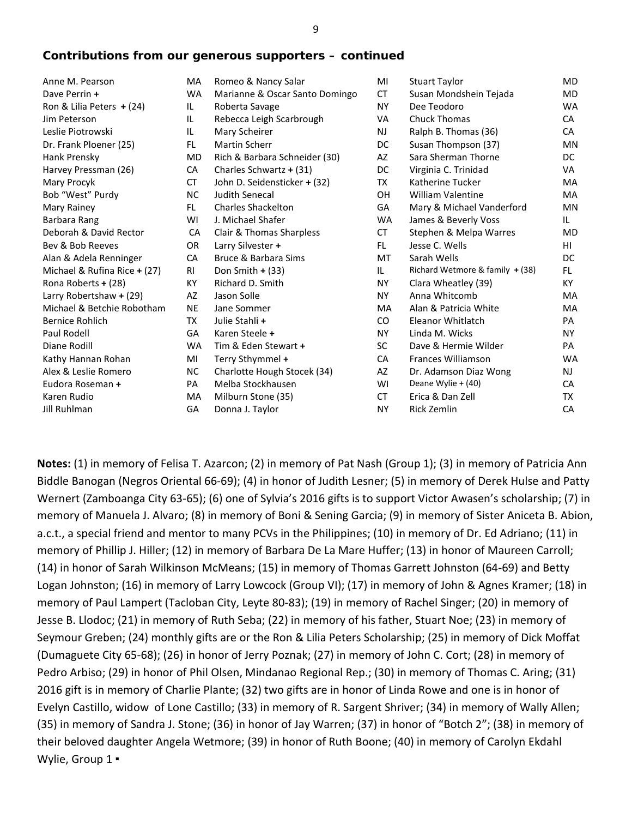# *Contributions from our generous supporters – continued*

| Anne M. Pearson              | MA        | Romeo & Nancy Salar            | MI        | <b>Stuart Taylor</b>              | <b>MD</b> |
|------------------------------|-----------|--------------------------------|-----------|-----------------------------------|-----------|
| Dave Perrin +                | <b>WA</b> | Marianne & Oscar Santo Domingo | СT        | Susan Mondshein Tejada            | <b>MD</b> |
| Ron & Lilia Peters $+ (24)$  | IL        | Roberta Savage                 | <b>NY</b> | Dee Teodoro                       | <b>WA</b> |
| Jim Peterson                 | IL        | Rebecca Leigh Scarbrough       | VA        | <b>Chuck Thomas</b>               | CA        |
| Leslie Piotrowski            | IL        | Mary Scheirer                  | <b>NJ</b> | Ralph B. Thomas (36)              | CA        |
| Dr. Frank Ploener (25)       | FL.       | <b>Martin Scherr</b>           | DC        | Susan Thompson (37)               | <b>MN</b> |
| Hank Prensky                 | <b>MD</b> | Rich & Barbara Schneider (30)  | AZ        | Sara Sherman Thorne               | DC.       |
| Harvey Pressman (26)         | CA        | Charles Schwartz + (31)        | DC        | Virginia C. Trinidad              | VA        |
| Mary Procyk                  | СT        | John D. Seidensticker + (32)   | TX        | Katherine Tucker                  | MA        |
| Bob "West" Purdy             | NC.       | Judith Senecal                 | <b>OH</b> | <b>William Valentine</b>          | MA        |
| Mary Rainey                  | FL.       | <b>Charles Shackelton</b>      | GA        | Mary & Michael Vanderford         | MN        |
| Barbara Rang                 | WI        | J. Michael Shafer              | <b>WA</b> | James & Beverly Voss              | IL        |
| Deborah & David Rector       | CA        | Clair & Thomas Sharpless       | <b>CT</b> | Stephen & Melpa Warres            | MD        |
| Bev & Bob Reeves             | OR        | Larry Silvester +              | FL.       | Jesse C. Wells                    | HI.       |
| Alan & Adela Renninger       | CA        | Bruce & Barbara Sims           | <b>MT</b> | Sarah Wells                       | DC.       |
| Michael & Rufina Rice + (27) | RI        | Don Smith $+$ (33)             | IL.       | Richard Wetmore & family $+$ (38) | FL.       |
| Rona Roberts + (28)          | КY        | Richard D. Smith               | <b>NY</b> | Clara Wheatley (39)               | KY.       |
| Larry Robertshaw + (29)      | AZ        | Jason Solle                    | <b>NY</b> | Anna Whitcomb                     | MA        |
| Michael & Betchie Robotham   | <b>NE</b> | Jane Sommer                    | <b>MA</b> | Alan & Patricia White             | MA        |
| <b>Bernice Rohlich</b>       | ТX        | Julie Stahli +                 | CO.       | Eleanor Whitlatch                 | <b>PA</b> |
| Paul Rodell                  | GA        | Karen Steele +                 | <b>NY</b> | Linda M. Wicks                    | NY.       |
| Diane Rodill                 | <b>WA</b> | Tim & Eden Stewart +           | <b>SC</b> | Dave & Hermie Wilder              | PA        |
| Kathy Hannan Rohan           | MI        | Terry Sthymmel +               | <b>CA</b> | <b>Frances Williamson</b>         | <b>WA</b> |
| Alex & Leslie Romero         | NC.       | Charlotte Hough Stocek (34)    | AZ        | Dr. Adamson Diaz Wong             | NJ.       |
| Eudora Roseman +             | PA        | Melba Stockhausen              | WI        | Deane Wylie + (40)                | CA        |
| Karen Rudio                  | MA        | Milburn Stone (35)             | CT        | Erica & Dan Zell                  | TX        |
| <b>Jill Ruhlman</b>          | GA        | Donna J. Taylor                | <b>NY</b> | <b>Rick Zemlin</b>                | CA        |
|                              |           |                                |           |                                   |           |

**Notes:** (1) in memory of Felisa T. Azarcon; (2) in memory of Pat Nash (Group 1); (3) in memory of Patricia Ann Biddle Banogan (Negros Oriental 66-69); (4) in honor of Judith Lesner; (5) in memory of Derek Hulse and Patty Wernert (Zamboanga City 63-65); (6) one of Sylvia's 2016 gifts is to support Victor Awasen's scholarship; (7) in memory of Manuela J. Alvaro; (8) in memory of Boni & Sening Garcia; (9) in memory of Sister Aniceta B. Abion, a.c.t., a special friend and mentor to many PCVs in the Philippines; (10) in memory of Dr. Ed Adriano; (11) in memory of Phillip J. Hiller; (12) in memory of Barbara De La Mare Huffer; (13) in honor of Maureen Carroll; (14) in honor of Sarah Wilkinson McMeans; (15) in memory of Thomas Garrett Johnston (64-69) and Betty Logan Johnston; (16) in memory of Larry Lowcock (Group VI); (17) in memory of John & Agnes Kramer; (18) in memory of Paul Lampert (Tacloban City, Leyte 80-83); (19) in memory of Rachel Singer; (20) in memory of Jesse B. Llodoc; (21) in memory of Ruth Seba; (22) in memory of his father, Stuart Noe; (23) in memory of Seymour Greben; (24) monthly gifts are or the Ron & Lilia Peters Scholarship; (25) in memory of Dick Moffat (Dumaguete City 65-68); (26) in honor of Jerry Poznak; (27) in memory of John C. Cort; (28) in memory of Pedro Arbiso; (29) in honor of Phil Olsen, Mindanao Regional Rep.; (30) in memory of Thomas C. Aring; (31) 2016 gift is in memory of Charlie Plante; (32) two gifts are in honor of Linda Rowe and one is in honor of Evelyn Castillo, widow of Lone Castillo; (33) in memory of R. Sargent Shriver; (34) in memory of Wally Allen; (35) in memory of Sandra J. Stone; (36) in honor of Jay Warren; (37) in honor of "Botch 2"; (38) in memory of their beloved daughter Angela Wetmore; (39) in honor of Ruth Boone; (40) in memory of Carolyn Ekdahl Wylie, Group 1 ·